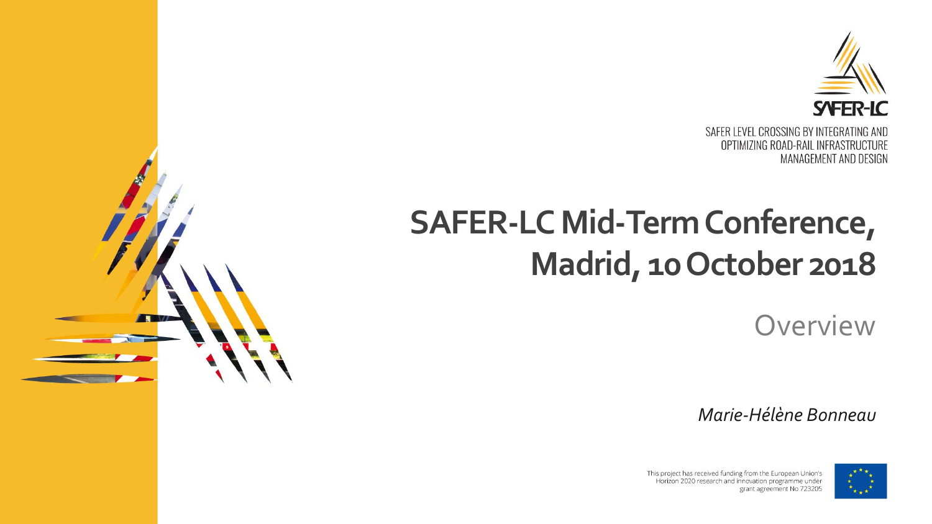

## **SAFER-LC Mid-TermConference, Madrid, 10 October 2018**

**Overview** 

*Marie-Hélène Bonneau*



This project has received funding from the European Union's Horizon 2020 research and innovation programme under grant agreement No 723205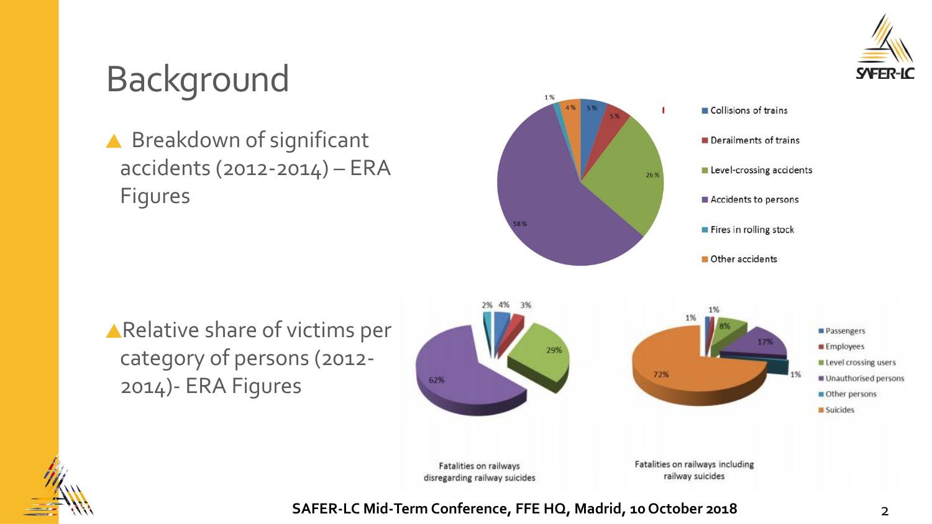

## Background

▲ Breakdown of significant accidents (2012-2014) – ERA Figures



Relative share of victims per category of persons (2012- 2014)- ERA Figures



Fatalities on railways disregarding railway suicides Fatalities on railways including railway suicides

**SAFER-LC Mid-Term Conference, FFE HQ, Madrid, 10 October 2018** 2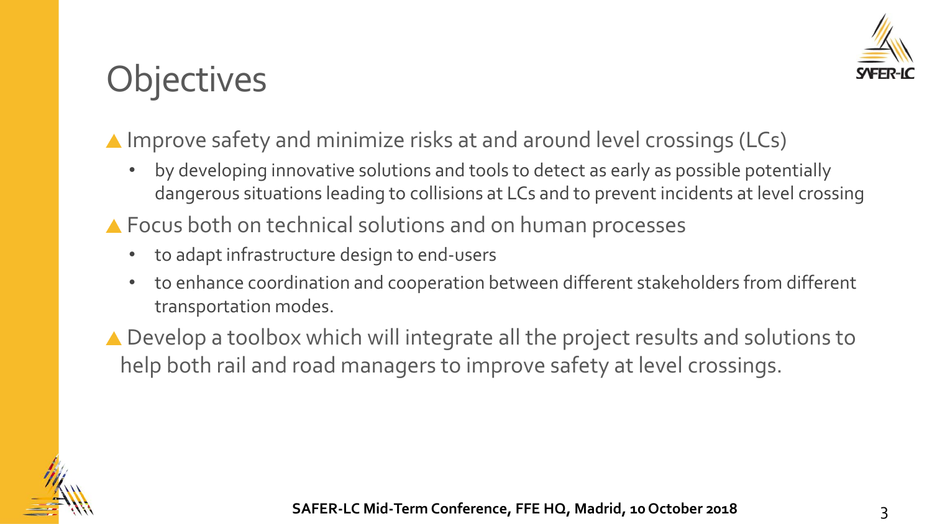

## **Objectives**

#### ▲ Improve safety and minimize risks at and around level crossings (LCs)

- by developing innovative solutions and tools to detect as early as possible potentially dangerous situations leading to collisions at LCs and to prevent incidents at level crossing
- ▲ Focus both on technical solutions and on human processes
	- to adapt infrastructure design to end-users
	- to enhance coordination and cooperation between different stakeholders from different transportation modes.
- ▲ Develop a toolbox which will integrate all the project results and solutions to help both rail and road managers to improve safety at level crossings.

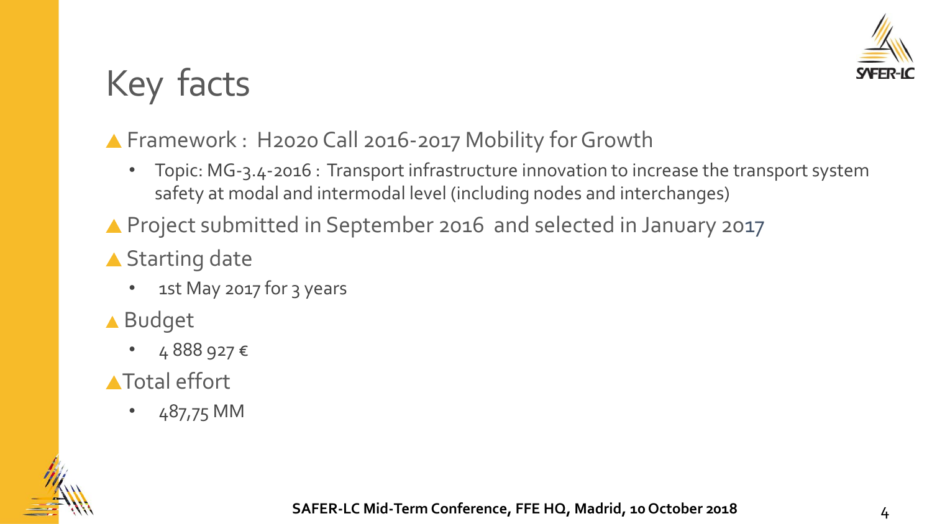

# Key facts

#### ▲ Framework : H2020 Call 2016-2017 Mobility for Growth

- Topic: MG-3.4-2016 : Transport infrastructure innovation to increase the transport system safety at modal and intermodal level (including nodes and interchanges)
- ▲ Project submitted in September 2016 and selected in January 2017
- ▲ Starting date
	- 1st May 2017 for 3 years
- ▲ Budget
	- 4 888 927 €
- **A**Total effort
	- 487,75 MM

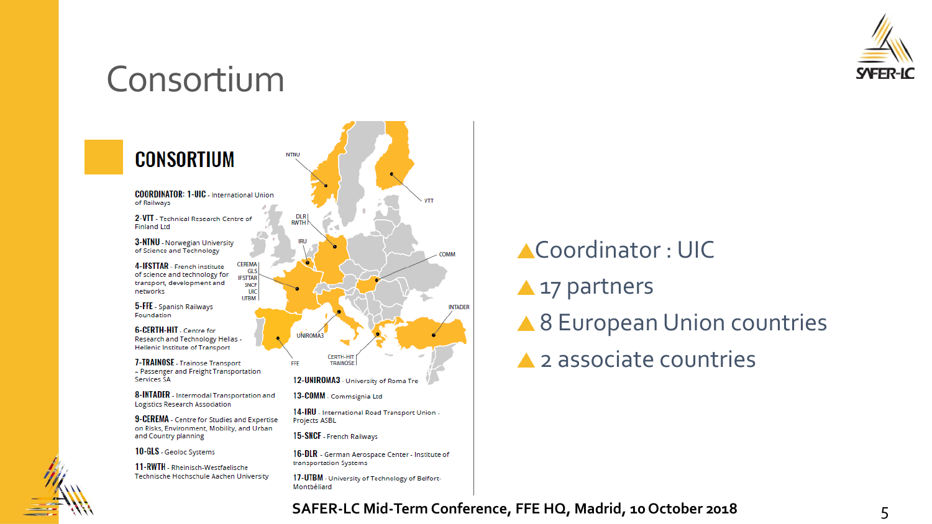

### Consortium



### Coordinator : UIC **A** 17 partners ▲ 8 European Union countries 2 associate countries

#### **SAFER-LC Mid-Term Conference, FFE HQ, Madrid, 10 October 2018** 5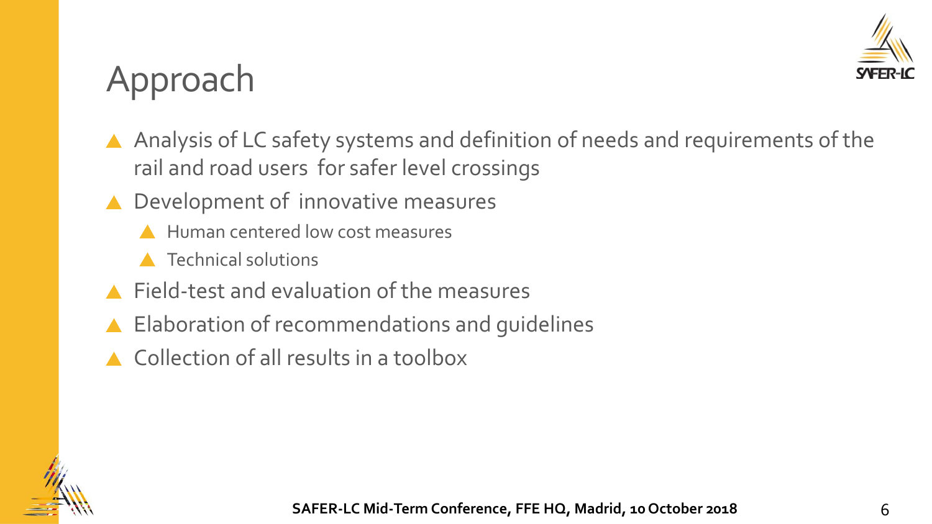

### Approach

- A Analysis of LC safety systems and definition of needs and requirements of the rail and road users for safer level crossings
- ▲ Development of innovative measures
	- Human centered low cost measures
	- **A** Technical solutions
- Field-test and evaluation of the measures
- ▲ Elaboration of recommendations and guidelines
- Collection of all results in a toolbox

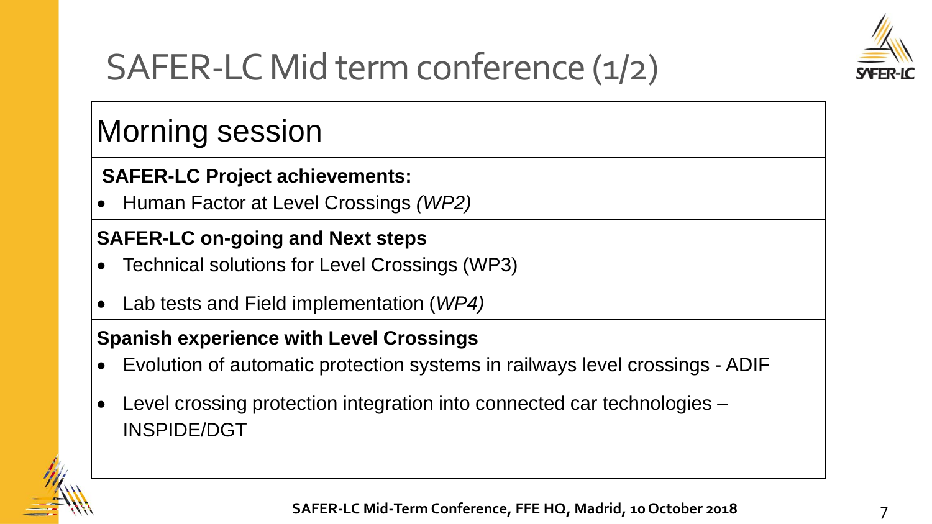

## SAFER-LC Mid term conference (1/2)

### Morning session

#### **SAFER-LC Project achievements:**

• Human Factor at Level Crossings *(WP2)* 

#### **SAFER-LC on-going and Next steps**

- Technical solutions for Level Crossings (WP3)
- Lab tests and Field implementation (*WP4)*

#### **Spanish experience with Level Crossings**

- Evolution of automatic protection systems in railways level crossings ADIF
- Level crossing protection integration into connected car technologies INSPIDE/DGT